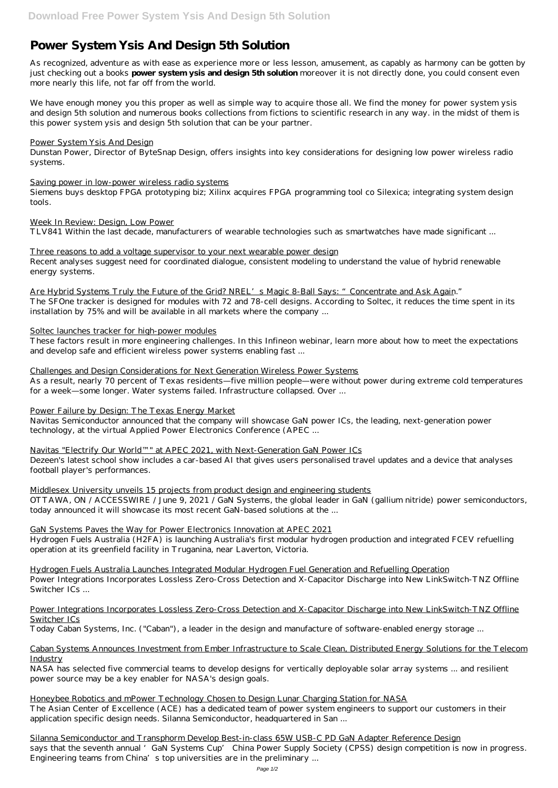# **Power System Ysis And Design 5th Solution**

As recognized, adventure as with ease as experience more or less lesson, amusement, as capably as harmony can be gotten by just checking out a books **power system ysis and design 5th solution** moreover it is not directly done, you could consent even more nearly this life, not far off from the world.

We have enough money you this proper as well as simple way to acquire those all. We find the money for power system ysis and design 5th solution and numerous books collections from fictions to scientific research in any way. in the midst of them is this power system ysis and design 5th solution that can be your partner.

#### Power System Ysis And Design

Dunstan Power, Director of ByteSnap Design, offers insights into key considerations for designing low power wireless radio systems.

#### Saving power in low-power wireless radio systems

Siemens buys desktop FPGA prototyping biz; Xilinx acquires FPGA programming tool co Silexica; integrating system design tools.

## Week In Review: Design, Low Power

TLV841 Within the last decade, manufacturers of wearable technologies such as smartwatches have made significant ...

#### Three reasons to add a voltage supervisor to your next wearable power design

Recent analyses suggest need for coordinated dialogue, consistent modeling to understand the value of hybrid renewable energy systems.

Are Hybrid Systems Truly the Future of the Grid? NREL's Magic 8-Ball Says: "Concentrate and Ask Again."

The SFOne tracker is designed for modules with 72 and 78-cell designs. According to Soltec, it reduces the time spent in its installation by 75% and will be available in all markets where the company ...

## Soltec launches tracker for high-power modules

These factors result in more engineering challenges. In this Infineon webinar, learn more about how to meet the expectations and develop safe and efficient wireless power systems enabling fast ...

## Challenges and Design Considerations for Next Generation Wireless Power Systems

As a result, nearly 70 percent of Texas residents—five million people—were without power during extreme cold temperatures for a week—some longer. Water systems failed. Infrastructure collapsed. Over ...

Silanna Semiconductor and Transphorm Develop Best-in-class 65W USB-C PD GaN Adapter Reference Design says that the seventh annual 'GaN Systems Cup' China Power Supply Society (CPSS) design competition is now in progress. Engineering teams from China's top universities are in the preliminary ...

## Power Failure by Design: The Texas Energy Market

Navitas Semiconductor announced that the company will showcase GaN power ICs, the leading, next-generation power technology, at the virtual Applied Power Electronics Conference (APEC ...

Navitas "Electrify Our World™" at APEC 2021, with Next-Generation GaN Power ICs

Dezeen's latest school show includes a car-based AI that gives users personalised travel updates and a device that analyses football player's performances.

## Middlesex University unveils 15 projects from product design and engineering students

OTTAWA, ON / ACCESSWIRE / June 9, 2021 / GaN Systems, the global leader in GaN (gallium nitride) power semiconductors, today announced it will showcase its most recent GaN-based solutions at the ...

## GaN Systems Paves the Way for Power Electronics Innovation at APEC 2021

Hydrogen Fuels Australia (H2FA) is launching Australia's first modular hydrogen production and integrated FCEV refuelling operation at its greenfield facility in Truganina, near Laverton, Victoria.

Hydrogen Fuels Australia Launches Integrated Modular Hydrogen Fuel Generation and Refuelling Operation Power Integrations Incorporates Lossless Zero-Cross Detection and X-Capacitor Discharge into New LinkSwitch-TNZ Offline Switcher ICs ...

## Power Integrations Incorporates Lossless Zero-Cross Detection and X-Capacitor Discharge into New LinkSwitch-TNZ Offline Switcher ICs

Today Caban Systems, Inc. ("Caban"), a leader in the design and manufacture of software-enabled energy storage ...

## Caban Systems Announces Investment from Ember Infrastructure to Scale Clean, Distributed Energy Solutions for the Telecom Industry

NASA has selected five commercial teams to develop designs for vertically deployable solar array systems ... and resilient power source may be a key enabler for NASA's design goals.

Honeybee Robotics and mPower Technology Chosen to Design Lunar Charging Station for NASA The Asian Center of Excellence (ACE) has a dedicated team of power system engineers to support our customers in their application specific design needs. Silanna Semiconductor, headquartered in San ...